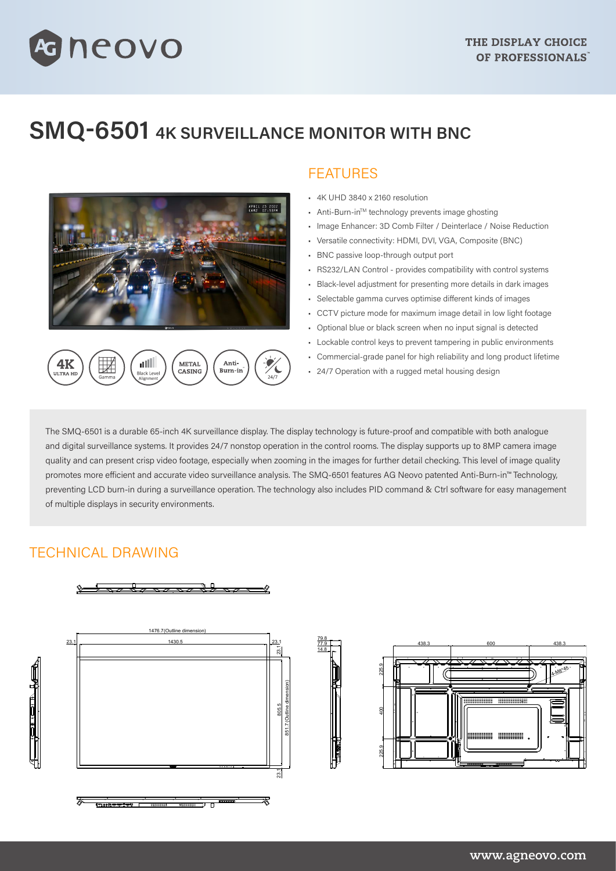## **SMQ-6501 4K SURVEILLANCE MONITOR WITH BNC**



METAL

CASING

Anti-

Burn-ir

alll

Black Lew

neovo

## FEATURES

- 4K UHD 3840 x 2160 resolution
- Anti-Burn-inTM technology prevents image ghosting
- Image Enhancer: 3D Comb Filter / Deinterlace / Noise Reduction
- Versatile connectivity: HDMI, DVI, VGA, Composite (BNC)
- BNC passive loop-through output port
- RS232/LAN Control provides compatibility with control systems
- Black-level adjustment for presenting more details in dark images
- Selectable gamma curves optimise different kinds of images
- CCTV picture mode for maximum image detail in low light footage
- Optional blue or black screen when no input signal is detected
- Lockable control keys to prevent tampering in public environments
- Commercial-grade panel for high reliability and long product lifetime
- 24/7 Operation with a rugged metal housing design

The SMQ-6501 is a durable 65-inch 4K surveillance display. The display technology is future-proof and compatible with both analogue and digital surveillance systems. It provides 24/7 nonstop operation in the control rooms. The display supports up to 8MP camera image quality and can present crisp video footage, especially when zooming in the images for further detail checking. This level of image quality promotes more efficient and accurate video surveillance analysis. The SMQ-6501 features AG Neovo patented Anti-Burn-in™ Technology, preventing LCD burn-in during a surveillance operation. The technology also includes PID command & Ctrl software for easy management of multiple displays in security environments.

> 77.9 79.8 14.8

## TECHNICAL DRAWING

4K

 $\overline{11}$  TPA H